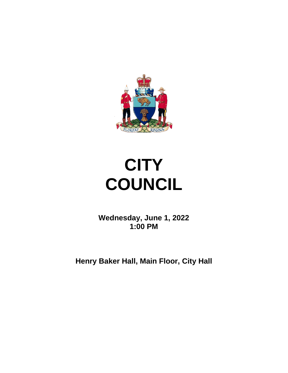

# **CITY COUNCIL**

**Wednesday, June 1, 2022 1:00 PM**

**Henry Baker Hall, Main Floor, City Hall**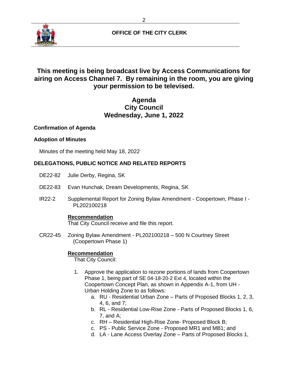

# **This meeting is being broadcast live by Access Communications for airing on Access Channel 7. By remaining in the room, you are giving your permission to be televised.**

# **Agenda City Council Wednesday, June 1, 2022**

## **Confirmation of Agenda**

## **Adoption of Minutes**

Minutes of the meeting held May 18, 2022

# **DELEGATIONS, PUBLIC NOTICE AND RELATED REPORTS**

- DE22-82 Julie Derby, Regina, SK
- DE22-83 Evan Hunchak, Dream Developments, Regina, SK
- IR22-2 Supplemental Report for Zoning Bylaw Amendment Coopertown, Phase I PL202100218

# **Recommendation**

That City Council receive and file this report.

CR22-45 Zoning Bylaw Amendment - PL202100218 – 500 N Courtney Street (Coopertown Phase 1)

# **Recommendation**

That City Council:

- 1. Approve the application to rezone portions of lands from Coopertown Phase 1, being part of SE 04-18-20-2 Ext 4, located within the Coopertown Concept Plan, as shown in Appendix A-1, from UH - Urban Holding Zone to as follows:
	- a. RU Residential Urban Zone Parts of Proposed Blocks 1, 2, 3, 4, 6, and 7;
	- b. RL Residential Low-Rise Zone Parts of Proposed Blocks 1, 6, 7, and A;
	- c. RH Residential High-Rise Zone- Proposed Block B;
	- c. PS Public Service Zone Proposed MR1 and MB1; and
	- d. LA Lane Access Overlay Zone Parts of Proposed Blocks 1,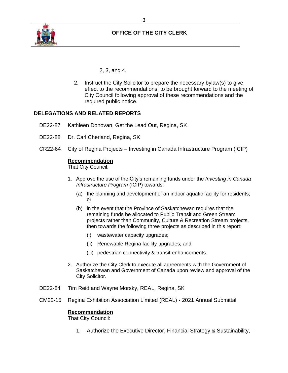

2, 3, and 4.

2. Instruct the City Solicitor to prepare the necessary bylaw(s) to give effect to the recommendations, to be brought forward to the meeting of City Council following approval of these recommendations and the required public notice.

# **DELEGATIONS AND RELATED REPORTS**

- DE22-87 Kathleen Donovan, Get the Lead Out, Regina, SK
- DE22-88 Dr. Carl Cherland, Regina, SK
- CR22-64 City of Regina Projects Investing in Canada Infrastructure Program (ICIP)

#### **Recommendation**

That City Council:

- 1. Approve the use of the City's remaining funds under the *Investing in Canada Infrastructure Program* (ICIP) towards:
	- (a) the planning and development of an indoor aquatic facility for residents; or
	- (b) in the event that the Province of Saskatchewan requires that the remaining funds be allocated to Public Transit and Green Stream projects rather than Community, Culture & Recreation Stream projects, then towards the following three projects as described in this report:
		- (i) wastewater capacity upgrades;
		- (ii) Renewable Regina facility upgrades; and
		- (iii) pedestrian connectivity & transit enhancements.
- 2. Authorize the City Clerk to execute all agreements with the Government of Saskatchewan and Government of Canada upon review and approval of the City Solicitor.
- DE22-84 Tim Reid and Wayne Morsky, REAL, Regina, SK
- CM22-15 Regina Exhibition Association Limited (REAL) 2021 Annual Submittal

#### **Recommendation**

That City Council:

1. Authorize the Executive Director, Financial Strategy & Sustainability,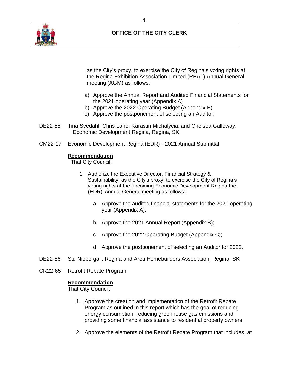

as the City's proxy, to exercise the City of Regina's voting rights at the Regina Exhibition Association Limited (REAL) Annual General meeting (AGM) as follows:

- a) Approve the Annual Report and Audited Financial Statements for the 2021 operating year (Appendix A)
- b) Approve the 2022 Operating Budget (Appendix B)
- c) Approve the postponement of selecting an Auditor.
- DE22-85 Tina Svedahl, Chris Lane, Karastin Michalycia, and Chelsea Galloway, Economic Development Regina, Regina, SK
- CM22-17 Economic Development Regina (EDR) 2021 Annual Submittal

#### **Recommendation**

That City Council:

- 1. Authorize the Executive Director, Financial Strategy & Sustainability, as the City's proxy, to exercise the City of Regina's voting rights at the upcoming Economic Development Regina Inc. (EDR) Annual General meeting as follows:
	- a. Approve the audited financial statements for the 2021 operating year (Appendix A);
	- b. Approve the 2021 Annual Report (Appendix B);
	- c. Approve the 2022 Operating Budget (Appendix C);
	- d. Approve the postponement of selecting an Auditor for 2022.
- DE22-86 Stu Niebergall, Regina and Area Homebuilders Association, Regina, SK
- CR22-65 Retrofit Rebate Program

#### **Recommendation**

That City Council:

- 1. Approve the creation and implementation of the Retrofit Rebate Program as outlined in this report which has the goal of reducing energy consumption, reducing greenhouse gas emissions and providing some financial assistance to residential property owners.
- 2. Approve the elements of the Retrofit Rebate Program that includes, at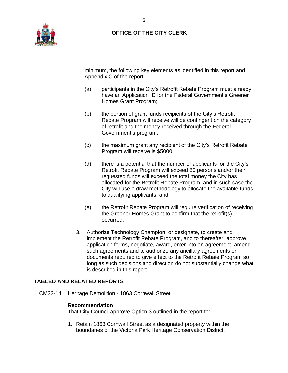

minimum, the following key elements as identified in this report and Appendix C of the report:

- (a) participants in the City's Retrofit Rebate Program must already have an Application ID for the Federal Government's Greener Homes Grant Program;
- (b) the portion of grant funds recipients of the City's Retrofit Rebate Program will receive will be contingent on the category of retrofit and the money received through the Federal Government's program;
- (c) the maximum grant any recipient of the City's Retrofit Rebate Program will receive is \$5000;
- (d) there is a potential that the number of applicants for the City's Retrofit Rebate Program will exceed 80 persons and/or their requested funds will exceed the total money the City has allocated for the Retrofit Rebate Program, and in such case the City will use a draw methodology to allocate the available funds to qualifying applicants; and
- (e) the Retrofit Rebate Program will require verification of receiving the Greener Homes Grant to confirm that the retrofit(s) occurred.
- 3. Authorize Technology Champion, or designate, to create and implement the Retrofit Rebate Program, and to thereafter, approve application forms, negotiate, award, enter into an agreement, amend such agreements and to authorize any ancillary agreements or documents required to give effect to the Retrofit Rebate Program so long as such decisions and direction do not substantially change what is described in this report.

# **TABLED AND RELATED REPORTS**

CM22-14 Heritage Demolition - 1863 Cornwall Street

#### **Recommendation**

That City Council approve Option 3 outlined in the report to:

1. Retain 1863 Cornwall Street as a designated property within the boundaries of the Victoria Park Heritage Conservation District.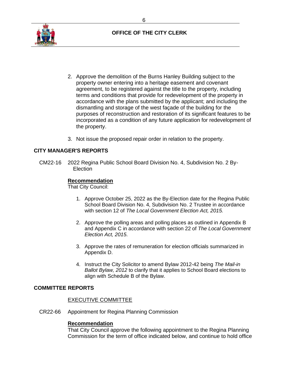

- 2. Approve the demolition of the Burns Hanley Building subject to the property owner entering into a heritage easement and covenant agreement, to be registered against the title to the property, including terms and conditions that provide for redevelopment of the property in accordance with the plans submitted by the applicant; and including the dismantling and storage of the west façade of the building for the purposes of reconstruction and restoration of its significant features to be incorporated as a condition of any future application for redevelopment of the property.
- 3. Not issue the proposed repair order in relation to the property.

#### **CITY MANAGER'S REPORTS**

CM22-16 2022 Regina Public School Board Division No. 4, Subdivision No. 2 By-**Election** 

#### **Recommendation**

That City Council:

- 1. Approve October 25, 2022 as the By-Election date for the Regina Public School Board Division No. 4, Subdivision No. 2 Trustee in accordance with section 12 of *The Local Government Election Act, 2015.*
- 2. Approve the polling areas and polling places as outlined in Appendix B and Appendix C in accordance with section 22 of *The Local Government Election Act, 2015*.
- 3. Approve the rates of remuneration for election officials summarized in Appendix D.
- 4. Instruct the City Solicitor to amend Bylaw 2012-42 being *The Mail-in Ballot Bylaw, 2012* to clarify that it applies to School Board elections to align with Schedule B of the Bylaw.

#### **COMMITTEE REPORTS**

#### EXECUTIVE COMMITTEE

CR22-66 Appointment for Regina Planning Commission

#### **Recommendation**

That City Council approve the following appointment to the Regina Planning Commission for the term of office indicated below, and continue to hold office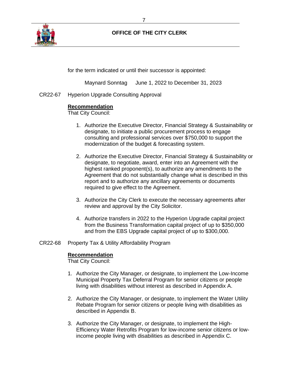

for the term indicated or until their successor is appointed:

Maynard Sonntag June 1, 2022 to December 31, 2023

CR22-67 Hyperion Upgrade Consulting Approval

## **Recommendation**

That City Council:

- 1. Authorize the Executive Director, Financial Strategy & Sustainability or designate, to initiate a public procurement process to engage consulting and professional services over \$750,000 to support the modernization of the budget & forecasting system.
- 2. Authorize the Executive Director, Financial Strategy & Sustainability or designate, to negotiate, award, enter into an Agreement with the highest ranked proponent(s), to authorize any amendments to the Agreement that do not substantially change what is described in this report and to authorize any ancillary agreements or documents required to give effect to the Agreement.
- 3. Authorize the City Clerk to execute the necessary agreements after review and approval by the City Solicitor.
- 4. Authorize transfers in 2022 to the Hyperion Upgrade capital project from the Business Transformation capital project of up to \$350,000 and from the EBS Upgrade capital project of up to \$300,000.
- CR22-68 Property Tax & Utility Affordability Program

#### **Recommendation**

That City Council:

- 1. Authorize the City Manager, or designate, to implement the Low-Income Municipal Property Tax Deferral Program for senior citizens or people living with disabilities without interest as described in Appendix A.
- 2. Authorize the City Manager, or designate, to implement the Water Utility Rebate Program for senior citizens or people living with disabilities as described in Appendix B.
- 3. Authorize the City Manager, or designate, to implement the High-Efficiency Water Retrofits Program for low-income senior citizens or lowincome people living with disabilities as described in Appendix C.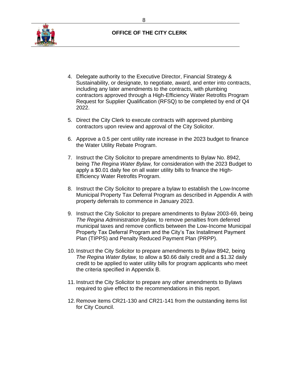

- 4. Delegate authority to the Executive Director, Financial Strategy & Sustainability, or designate, to negotiate, award, and enter into contracts, including any later amendments to the contracts, with plumbing contractors approved through a High-Efficiency Water Retrofits Program Request for Supplier Qualification (RFSQ) to be completed by end of Q4 2022.
- 5. Direct the City Clerk to execute contracts with approved plumbing contractors upon review and approval of the City Solicitor.
- 6. Approve a 0.5 per cent utility rate increase in the 2023 budget to finance the Water Utility Rebate Program.
- 7. Instruct the City Solicitor to prepare amendments to Bylaw No. 8942, being *The Regina Water Bylaw,* for consideration with the 2023 Budget to apply a \$0.01 daily fee on all water utility bills to finance the High-Efficiency Water Retrofits Program.
- 8. Instruct the City Solicitor to prepare a bylaw to establish the Low-Income Municipal Property Tax Deferral Program as described in Appendix A with property deferrals to commence in January 2023.
- 9. Instruct the City Solicitor to prepare amendments to Bylaw 2003-69, being *The Regina Administration Bylaw,* to remove penalties from deferred municipal taxes and remove conflicts between the Low-Income Municipal Property Tax Deferral Program and the City's Tax Installment Payment Plan (TIPPS) and Penalty Reduced Payment Plan (PRPP).
- 10. Instruct the City Solicitor to prepare amendments to Bylaw 8942, being *The Regina Water Bylaw,* to allow a \$0.66 daily credit and a \$1.32 daily credit to be applied to water utility bills for program applicants who meet the criteria specified in Appendix B.
- 11. Instruct the City Solicitor to prepare any other amendments to Bylaws required to give effect to the recommendations in this report.
- 12. Remove items CR21-130 and CR21-141 from the outstanding items list for City Council.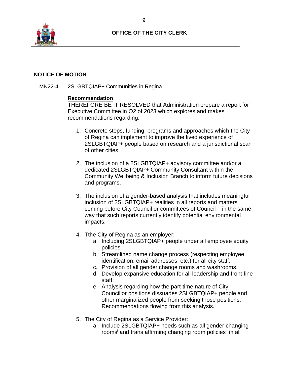

#### **NOTICE OF MOTION**

MN22-4 2SLGBTQIAP+ Communities in Regina

## **Recommendation**

THEREFORE BE IT RESOLVED that Administration prepare a report for Executive Committee in Q2 of 2023 which explores and makes recommendations regarding:

- 1. Concrete steps, funding, programs and approaches which the City of Regina can implement to improve the lived experience of 2SLGBTQIAP+ people based on research and a jurisdictional scan of other cities.
- 2. The inclusion of a 2SLGBTQIAP+ advisory committee and/or a dedicated 2SLGBTQIAP+ Community Consultant within the Community Wellbeing & Inclusion Branch to inform future decisions and programs.
- 3. The inclusion of a gender-based analysis that includes meaningful inclusion of 2SLGBTQIAP+ realities in all reports and matters coming before City Council or committees of Council – in the same way that such reports currently identify potential environmental impacts.
- 4. Tthe City of Regina as an employer:
	- a. Including 2SLGBTQIAP+ people under all employee equity policies.
	- b. Streamlined name change process (respecting employee identification, email addresses, etc.) for all city staff.
	- c. Provision of all gender change rooms and washrooms.
	- d. Develop expansive education for all leadership and front-line staff;
	- e. Analysis regarding how the part-time nature of City Councillor positions dissuades 2SLGBTQIAP+ people and other marginalized people from seeking those positions. Recommendations flowing from this analysis.
- 5. The City of Regina as a Service Provider:
	- a. Include 2SLGBTQIAP+ needs such as all gender changing rooms<sup>i</sup> and trans affirming changing room policies<sup>ii</sup> in all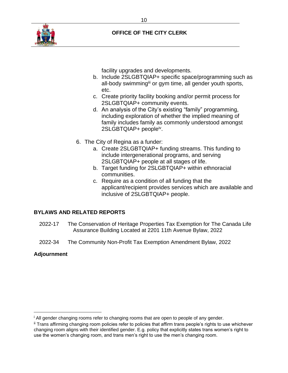

facility upgrades and developments.

- b. Include 2SLGBTQIAP+ specific space/programming such as all-body swimming<sup>iii</sup> or gym time, all gender youth sports, etc.
- c. Create priority facility booking and/or permit process for 2SLGBTQIAP+ community events.
- d. An analysis of the City's existing "family" programming, including exploration of whether the implied meaning of family includes family as commonly understood amongst 2SLGBTQIAP+ people<sup>iv</sup>.
- 6. The City of Regina as a funder:
	- a. Create 2SLGBTQIAP+ funding streams. This funding to include intergenerational programs, and serving 2SLGBTQIAP+ people at all stages of life.
	- b. Target funding for 2SLGBTQIAP+ within ethnoracial communities.
	- c. Require as a condition of all funding that the applicant/recipient provides services which are available and inclusive of 2SLGBTQIAP+ people.

# **BYLAWS AND RELATED REPORTS**

- 2022-17 The Conservation of Heritage Properties Tax Exemption for The Canada Life Assurance Building Located at 2201 11th Avenue Bylaw, 2022
- 2022-34 The Community Non-Profit Tax Exemption Amendment Bylaw, 2022

# **Adjournment**

<sup>&</sup>lt;sup>i</sup> All gender changing rooms refer to changing rooms that are open to people of any gender.

ii Trans affirming changing room policies refer to policies that affirm trans people's rights to use whichever changing room aligns with their identified gender. E.g. policy that explicitly states trans women's right to use the women's changing room, and trans men's right to use the men's changing room.